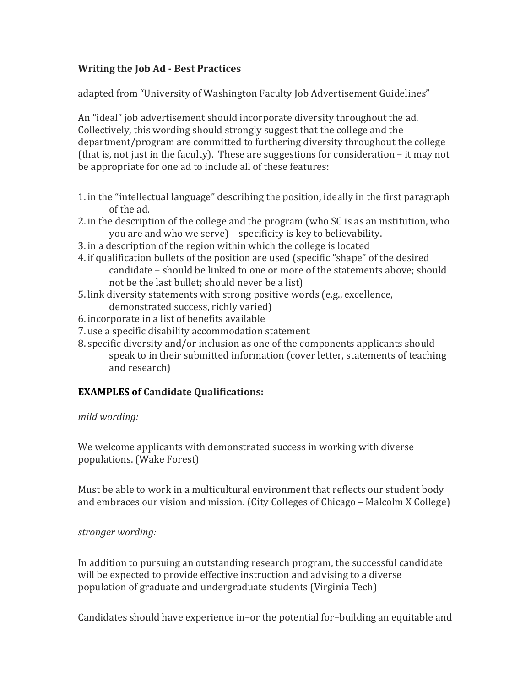# **Writing the Job Ad ‐ Best Practices**

adapted from "University of Washington Faculty Job Advertisement Guidelines"

An "ideal" job advertisement should incorporate diversity throughout the ad. Collectively, this wording should strongly suggest that the college and the department/program are committed to furthering diversity throughout the college (that is, not just in the faculty). These are suggestions for consideration – it may not be appropriate for one ad to include all of these features:

- 1. in the "intellectual language" describing the position, ideally in the first paragraph of the ad.
- 2. in the description of the college and the program (who SC is as an institution, who you are and who we serve) – specificity is key to believability.
- 3. in a description of the region within which the college is located
- 4. if qualification bullets of the position are used (specific "shape" of the desired candidate – should be linked to one or more of the statements above; should not be the last bullet; should never be a list)
- 5. link diversity statements with strong positive words (e.g., excellence, demonstrated success, richly varied)
- 6. incorporate in a list of benefits available
- 7. use a specific disability accommodation statement
- 8. specific diversity and/or inclusion as one of the components applicants should speak to in their submitted information (cover letter, statements of teaching and research)

# **EXAMPLES of Candidate Qualifications:**

### *mild wording:*

We welcome applicants with demonstrated success in working with diverse populations. (Wake Forest)

Must be able to work in a multicultural environment that reflects our student body and embraces our vision and mission. (City Colleges of Chicago – Malcolm X College)

# *stronger wording:*

In addition to pursuing an outstanding research program, the successful candidate will be expected to provide effective instruction and advising to a diverse population of graduate and undergraduate students (Virginia Tech)

Candidates should have experience in–or the potential for–building an equitable and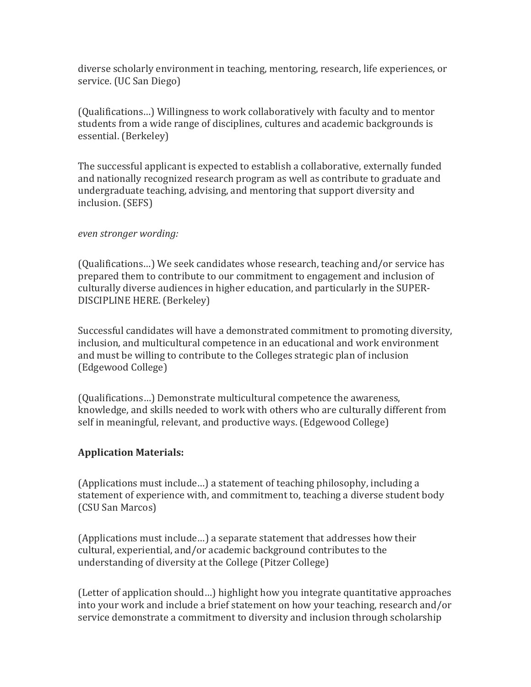diverse scholarly environment in teaching, mentoring, research, life experiences, or service. (UC San Diego)

(Qualifications...) Willingness to work collaboratively with faculty and to mentor students from a wide range of disciplines, cultures and academic backgrounds is essential. (Berkeley)

The successful applicant is expected to establish a collaborative, externally funded and nationally recognized research program as well as contribute to graduate and undergraduate teaching, advising, and mentoring that support diversity and inclusion. (SEFS)

### *even stronger wording:*

(Qualifications...) We seek candidates whose research, teaching and/or service has prepared them to contribute to our commitment to engagement and inclusion of culturally diverse audiences in higher education, and particularly in the SUPER-DISCIPLINE HERE. (Berkelev)

Successful candidates will have a demonstrated commitment to promoting diversity, inclusion, and multicultural competence in an educational and work environment and must be willing to contribute to the Colleges strategic plan of inclusion (Edgewood College) 

(Qualifications...) Demonstrate multicultural competence the awareness, knowledge, and skills needed to work with others who are culturally different from self in meaningful, relevant, and productive ways. (Edgewood College)

### **Application Materials:**

(Applications must include...) a statement of teaching philosophy, including a statement of experience with, and commitment to, teaching a diverse student body (CSU San Marcos) 

(Applications must include...) a separate statement that addresses how their cultural, experiential, and/or academic background contributes to the understanding of diversity at the College (Pitzer College)

(Letter of application should...) highlight how you integrate quantitative approaches into your work and include a brief statement on how your teaching, research and/or service demonstrate a commitment to diversity and inclusion through scholarship